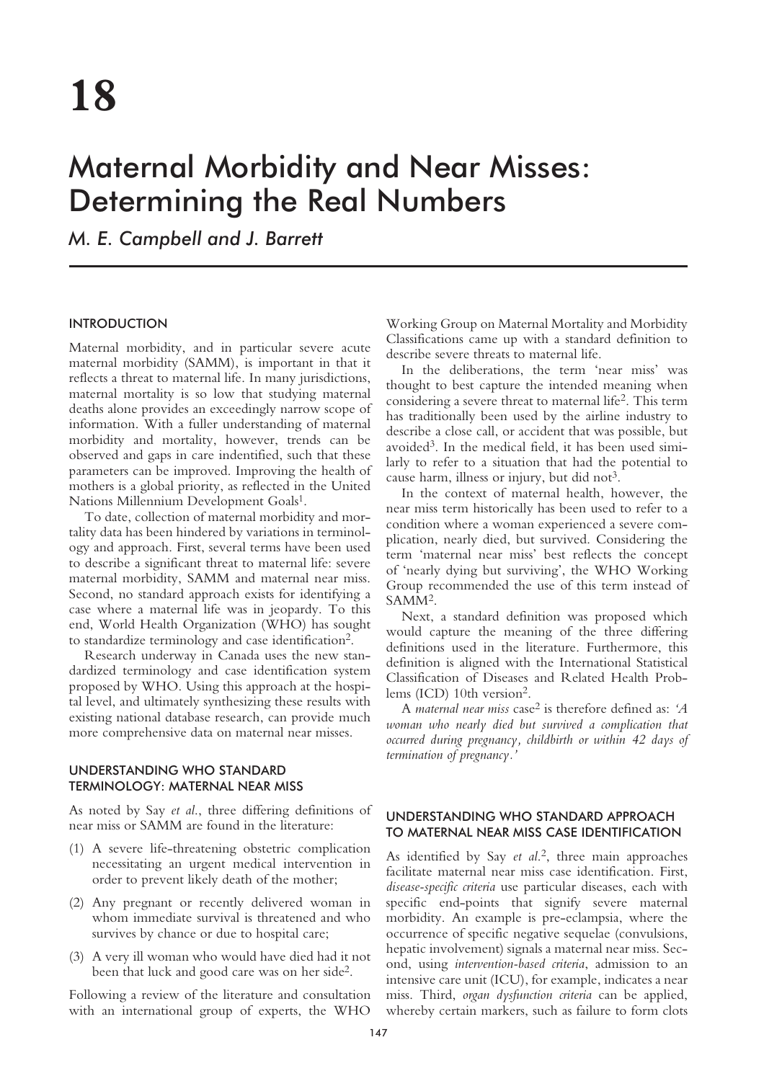# Maternal Morbidity and Near Misses: Determining the Real Numbers

*M. E. Campbell and J. Barrett*

## INTRODUCTION

Maternal morbidity, and in particular severe acute maternal morbidity (SAMM), is important in that it reflects a threat to maternal life. In many jurisdictions, maternal mortality is so low that studying maternal deaths alone provides an exceedingly narrow scope of information. With a fuller understanding of maternal morbidity and mortality, however, trends can be observed and gaps in care indentified, such that these parameters can be improved. Improving the health of mothers is a global priority, as reflected in the United Nations Millennium Development Goals<sup>1</sup>.

To date, collection of maternal morbidity and mortality data has been hindered by variations in terminology and approach. First, several terms have been used to describe a significant threat to maternal life: severe maternal morbidity, SAMM and maternal near miss. Second, no standard approach exists for identifying a case where a maternal life was in jeopardy. To this end, World Health Organization (WHO) has sought to standardize terminology and case identification2.

Research underway in Canada uses the new standardized terminology and case identification system proposed by WHO. Using this approach at the hospital level, and ultimately synthesizing these results with existing national database research, can provide much more comprehensive data on maternal near misses.

# UNDERSTANDING WHO STANDARD TERMINOLOGY: MATERNAL NEAR MISS

As noted by Say *et al*., three differing definitions of near miss or SAMM are found in the literature:

- (1) A severe life-threatening obstetric complication necessitating an urgent medical intervention in order to prevent likely death of the mother;
- (2) Any pregnant or recently delivered woman in whom immediate survival is threatened and who survives by chance or due to hospital care;
- (3) A very ill woman who would have died had it not been that luck and good care was on her side2.

Following a review of the literature and consultation with an international group of experts, the WHO

Working Group on Maternal Mortality and Morbidity Classifications came up with a standard definition to describe severe threats to maternal life.

In the deliberations, the term 'near miss' was thought to best capture the intended meaning when considering a severe threat to maternal life2. This term has traditionally been used by the airline industry to describe a close call, or accident that was possible, but avoided3. In the medical field, it has been used similarly to refer to a situation that had the potential to cause harm, illness or injury, but did not<sup>3</sup>.

In the context of maternal health, however, the near miss term historically has been used to refer to a condition where a woman experienced a severe complication, nearly died, but survived. Considering the term 'maternal near miss' best reflects the concept of 'nearly dying but surviving', the WHO Working Group recommended the use of this term instead of SAMM2.

Next, a standard definition was proposed which would capture the meaning of the three differing definitions used in the literature. Furthermore, this definition is aligned with the International Statistical Classification of Diseases and Related Health Problems (ICD) 10th version2.

A *maternal near miss* case2 is therefore defined as: *'A woman who nearly died but survived a complication that occurred during pregnancy, childbirth or within 42 days of termination of pregnancy.'*

# UNDERSTANDING WHO STANDARD APPROACH TO MATERNAL NEAR MISS CASE IDENTIFICATION

As identified by Say *et al*. 2, three main approaches facilitate maternal near miss case identification. First, *disease-specific criteria* use particular diseases, each with specific end-points that signify severe maternal morbidity. An example is pre-eclampsia, where the occurrence of specific negative sequelae (convulsions, hepatic involvement) signals a maternal near miss. Second, using *intervention-based criteria*, admission to an intensive care unit (ICU), for example, indicates a near miss. Third, *organ dysfunction criteria* can be applied, whereby certain markers, such as failure to form clots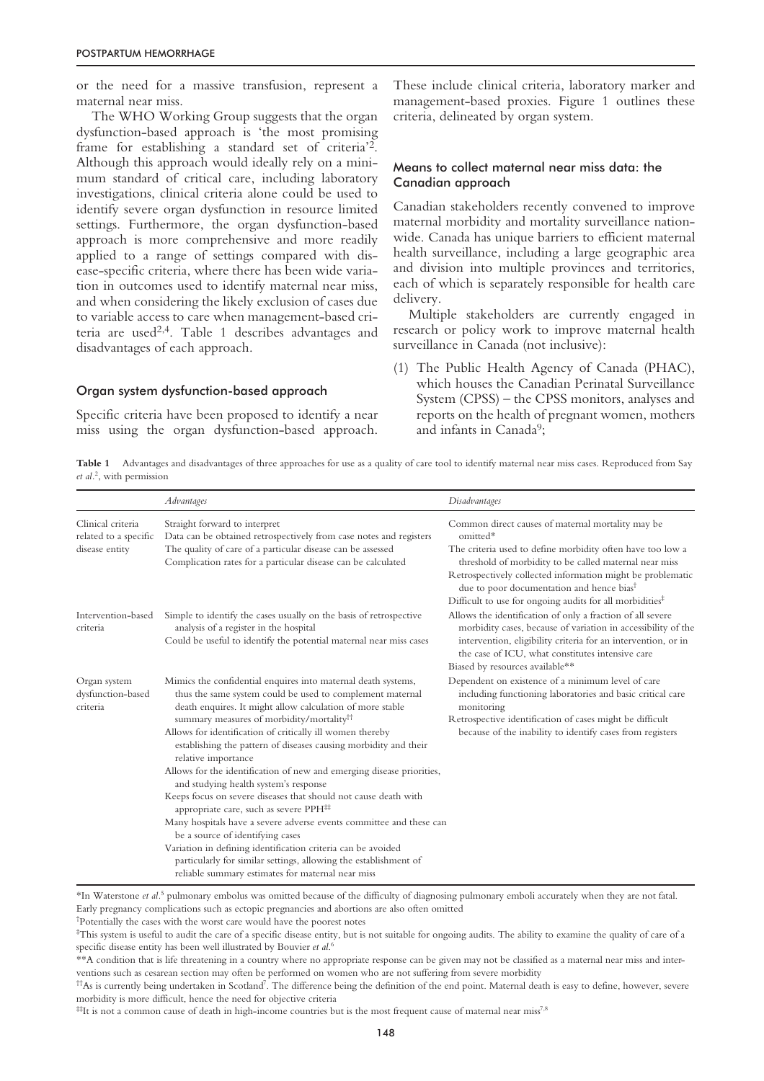or the need for a massive transfusion, represent a maternal near miss.

The WHO Working Group suggests that the organ dysfunction-based approach is 'the most promising frame for establishing a standard set of criteria'2. Although this approach would ideally rely on a minimum standard of critical care, including laboratory investigations, clinical criteria alone could be used to identify severe organ dysfunction in resource limited settings. Furthermore, the organ dysfunction-based approach is more comprehensive and more readily applied to a range of settings compared with disease-specific criteria, where there has been wide variation in outcomes used to identify maternal near miss, and when considering the likely exclusion of cases due to variable access to care when management-based criteria are used2,4. Table 1 describes advantages and disadvantages of each approach.

## Organ system dysfunction-based approach

Specific criteria have been proposed to identify a near miss using the organ dysfunction-based approach.

These include clinical criteria, laboratory marker and management-based proxies. Figure 1 outlines these criteria, delineated by organ system.

## Means to collect maternal near miss data: the Canadian approach

Canadian stakeholders recently convened to improve maternal morbidity and mortality surveillance nationwide. Canada has unique barriers to efficient maternal health surveillance, including a large geographic area and division into multiple provinces and territories, each of which is separately responsible for health care delivery.

Multiple stakeholders are currently engaged in research or policy work to improve maternal health surveillance in Canada (not inclusive):

(1) The Public Health Agency of Canada (PHAC), which houses the Canadian Perinatal Surveillance System (CPSS) – the CPSS monitors, analyses and reports on the health of pregnant women, mothers and infants in Canada<sup>9</sup>;

**Table 1** Advantages and disadvantages of three approaches for use as a quality of care tool to identify maternal near miss cases. Reproduced from Say *et al.*<sup>2</sup> , with permission

|                                                              | Advantages                                                                                                                                                                                                                                                                                                                                                                                                                                                                                                                                                                                                                                                                                                                                                                                                                                                                                                                                              | Disadvantages                                                                                                                                                                                                                                                                                                                                                               |
|--------------------------------------------------------------|---------------------------------------------------------------------------------------------------------------------------------------------------------------------------------------------------------------------------------------------------------------------------------------------------------------------------------------------------------------------------------------------------------------------------------------------------------------------------------------------------------------------------------------------------------------------------------------------------------------------------------------------------------------------------------------------------------------------------------------------------------------------------------------------------------------------------------------------------------------------------------------------------------------------------------------------------------|-----------------------------------------------------------------------------------------------------------------------------------------------------------------------------------------------------------------------------------------------------------------------------------------------------------------------------------------------------------------------------|
| Clinical criteria<br>related to a specific<br>disease entity | Straight forward to interpret<br>Data can be obtained retrospectively from case notes and registers<br>The quality of care of a particular disease can be assessed<br>Complication rates for a particular disease can be calculated                                                                                                                                                                                                                                                                                                                                                                                                                                                                                                                                                                                                                                                                                                                     | Common direct causes of maternal mortality may be<br>omitted*<br>The criteria used to define morbidity often have too low a<br>threshold of morbidity to be called maternal near miss<br>Retrospectively collected information might be problematic<br>due to poor documentation and hence bias <sup>†</sup><br>Difficult to use for ongoing audits for all morbidities $*$ |
| Intervention-based<br>criteria                               | Simple to identify the cases usually on the basis of retrospective<br>analysis of a register in the hospital<br>Could be useful to identify the potential maternal near miss cases                                                                                                                                                                                                                                                                                                                                                                                                                                                                                                                                                                                                                                                                                                                                                                      | Allows the identification of only a fraction of all severe<br>morbidity cases, because of variation in accessibility of the<br>intervention, eligibility criteria for an intervention, or in<br>the case of ICU, what constitutes intensive care<br>Biased by resources available**                                                                                         |
| Organ system<br>dysfunction-based<br>criteria                | Mimics the confidential enquires into maternal death systems,<br>thus the same system could be used to complement maternal<br>death enquires. It might allow calculation of more stable<br>summary measures of morbidity/mortality <sup>11</sup><br>Allows for identification of critically ill women thereby<br>establishing the pattern of diseases causing morbidity and their<br>relative importance<br>Allows for the identification of new and emerging disease priorities,<br>and studying health system's response<br>Keeps focus on severe diseases that should not cause death with<br>appropriate care, such as severe PPH <sup>##</sup><br>Many hospitals have a severe adverse events committee and these can<br>be a source of identifying cases<br>Variation in defining identification criteria can be avoided<br>particularly for similar settings, allowing the establishment of<br>reliable summary estimates for maternal near miss | Dependent on existence of a minimum level of care<br>including functioning laboratories and basic critical care<br>monitoring<br>Retrospective identification of cases might be difficult<br>because of the inability to identify cases from registers                                                                                                                      |

\*In Waterstone *et al.*<sup>5</sup> pulmonary embolus was omitted because of the difficulty of diagnosing pulmonary emboli accurately when they are not fatal. Early pregnancy complications such as ectopic pregnancies and abortions are also often omitted

† Potentially the cases with the worst care would have the poorest notes

 $\pm$ It is not a common cause of death in high-income countries but is the most frequent cause of maternal near miss<sup>7,8</sup>

<sup>‡</sup> This system is useful to audit the care of a specific disease entity, but is not suitable for ongoing audits. The ability to examine the quality of care of a specific disease entity has been well illustrated by Bouvier *et al*. 6

<sup>\*\*</sup>A condition that is life threatening in a country where no appropriate response can be given may not be classified as a maternal near miss and interventions such as cesarean section may often be performed on women who are not suffering from severe morbidity

<sup>††</sup>As is currently being undertaken in Scotland7 . The difference being the definition of the end point. Maternal death is easy to define, however, severe morbidity is more difficult, hence the need for objective criteria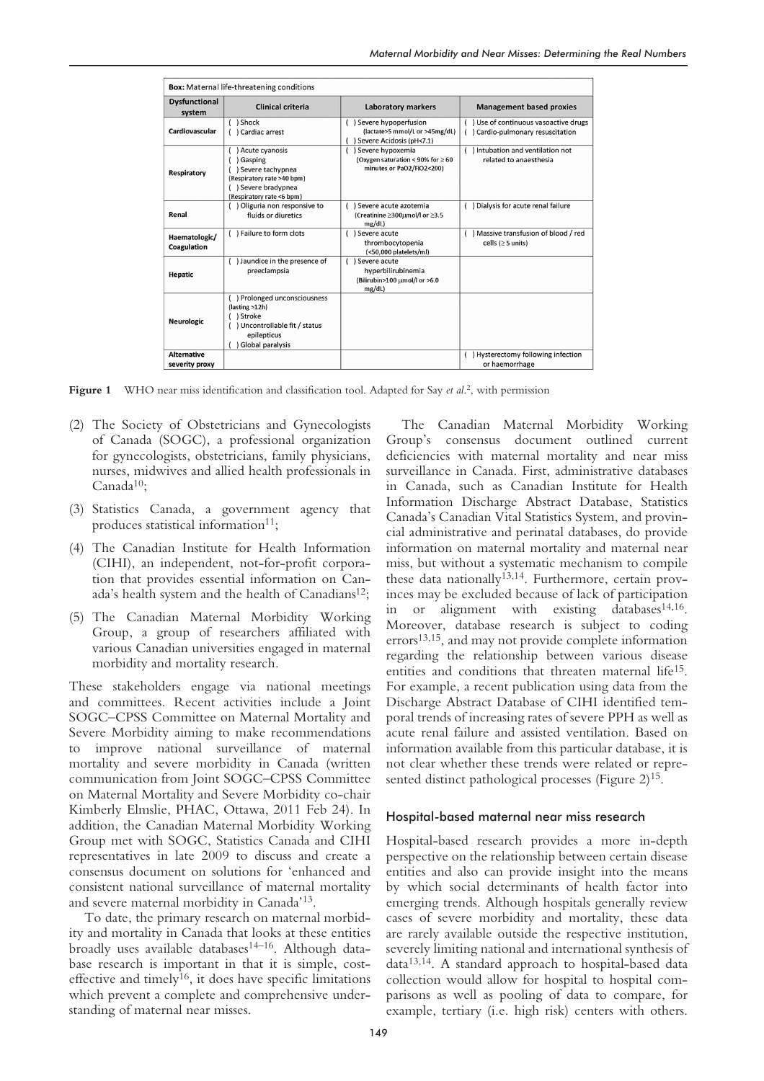| <b>Box:</b> Maternal life-threatening conditions |                                                                                                                                     |                                                                                           |                                                                            |  |
|--------------------------------------------------|-------------------------------------------------------------------------------------------------------------------------------------|-------------------------------------------------------------------------------------------|----------------------------------------------------------------------------|--|
| <b>Dysfunctional</b><br>system                   | Clinical criteria                                                                                                                   | Laboratory markers                                                                        | <b>Management based proxies</b>                                            |  |
| Cardiovascular                                   | ( ) Shock<br>( ) Cardiac arrest                                                                                                     | ) Severe hypoperfusion<br>(lactate>5 mmol/L or >45mg/dL)<br>Severe Acidosis (pH<7.1)      | () Use of continuous vasoactive drugs<br>() Cardio-pulmonary resuscitation |  |
| Respiratory                                      | Acute cyanosis<br>) Gasping<br>) Severe tachypnea<br>(Respiratory rate >40 bpm)<br>() Severe bradypnea<br>(Respiratory rate <6 bpm) | ) Severe hypoxemia<br>(Oxygen saturation < 90% for $\geq 60$<br>minutes or PaO2/FiO2<200) | () Intubation and ventilation not<br>related to anaesthesia                |  |
| Renal                                            | () Oliguria non responsive to<br>fluids or diuretics                                                                                | ) Severe acute azotemia<br>(Creatinine ≥300µmol/l or ≥3.5<br>mg/dL)                       | () Dialysis for acute renal failure                                        |  |
| Haematologic/<br>Coagulation                     | () Failure to form clots                                                                                                            | ) Severe acute<br>thrombocytopenia<br>(<50,000 platelets/ml)                              | () Massive transfusion of blood / red<br>cells ( $\geq$ 5 units)           |  |
| Hepatic                                          | () Jaundice in the presence of<br>preeclampsia                                                                                      | ) Severe acute<br>hyperbilirubinemia<br>(Bilirubin>100 µmol/l or >6.0<br>mg/dL)           |                                                                            |  |
| <b>Neurologic</b>                                | ) Prolonged unconsciousness<br>(lasting >12h)<br>) Stroke<br>() Uncontrollable fit / status<br>epilepticus<br>Global paralysis      |                                                                                           |                                                                            |  |
| <b>Alternative</b><br>severity proxy             |                                                                                                                                     |                                                                                           | () Hysterectomy following infection<br>or haemorrhage                      |  |

**Figure 1** WHO near miss identification and classification tool. Adapted for Say *et al.*<sup>2</sup>, with permission

- (2) The Society of Obstetricians and Gynecologists of Canada (SOGC), a professional organization for gynecologists, obstetricians, family physicians, nurses, midwives and allied health professionals in Canada<sup>10</sup>:
- (3) Statistics Canada, a government agency that produces statistical information<sup>11</sup>;
- (4) The Canadian Institute for Health Information (CIHI), an independent, not-for-profit corporation that provides essential information on Canada's health system and the health of Canadians<sup>12</sup>;
- (5) The Canadian Maternal Morbidity Working Group, a group of researchers affiliated with various Canadian universities engaged in maternal morbidity and mortality research.

These stakeholders engage via national meetings and committees. Recent activities include a Joint SOGC–CPSS Committee on Maternal Mortality and Severe Morbidity aiming to make recommendations to improve national surveillance of maternal mortality and severe morbidity in Canada (written communication from Joint SOGC–CPSS Committee on Maternal Mortality and Severe Morbidity co-chair Kimberly Elmslie, PHAC, Ottawa, 2011 Feb 24). In addition, the Canadian Maternal Morbidity Working Group met with SOGC, Statistics Canada and CIHI representatives in late 2009 to discuss and create a consensus document on solutions for 'enhanced and consistent national surveillance of maternal mortality and severe maternal morbidity in Canada'13.

To date, the primary research on maternal morbidity and mortality in Canada that looks at these entities broadly uses available databases<sup>14-16</sup>. Although database research is important in that it is simple, costeffective and timely<sup>16</sup>, it does have specific limitations which prevent a complete and comprehensive understanding of maternal near misses.

The Canadian Maternal Morbidity Working Group's consensus document outlined current deficiencies with maternal mortality and near miss surveillance in Canada. First, administrative databases in Canada, such as Canadian Institute for Health Information Discharge Abstract Database, Statistics Canada's Canadian Vital Statistics System, and provincial administrative and perinatal databases, do provide information on maternal mortality and maternal near miss, but without a systematic mechanism to compile these data nationally<sup>13,14</sup>. Furthermore, certain provinces may be excluded because of lack of participation in or alignment with existing databases<sup>14,16</sup>. Moreover, database research is subject to coding errors13,15, and may not provide complete information regarding the relationship between various disease entities and conditions that threaten maternal life15. For example, a recent publication using data from the Discharge Abstract Database of CIHI identified temporal trends of increasing rates of severe PPH as well as acute renal failure and assisted ventilation. Based on information available from this particular database, it is not clear whether these trends were related or represented distinct pathological processes (Figure 2)<sup>15</sup>.

#### Hospital-based maternal near miss research

Hospital-based research provides a more in-depth perspective on the relationship between certain disease entities and also can provide insight into the means by which social determinants of health factor into emerging trends. Although hospitals generally review cases of severe morbidity and mortality, these data are rarely available outside the respective institution, severely limiting national and international synthesis of data13,14. A standard approach to hospital-based data collection would allow for hospital to hospital comparisons as well as pooling of data to compare, for example, tertiary (i.e. high risk) centers with others.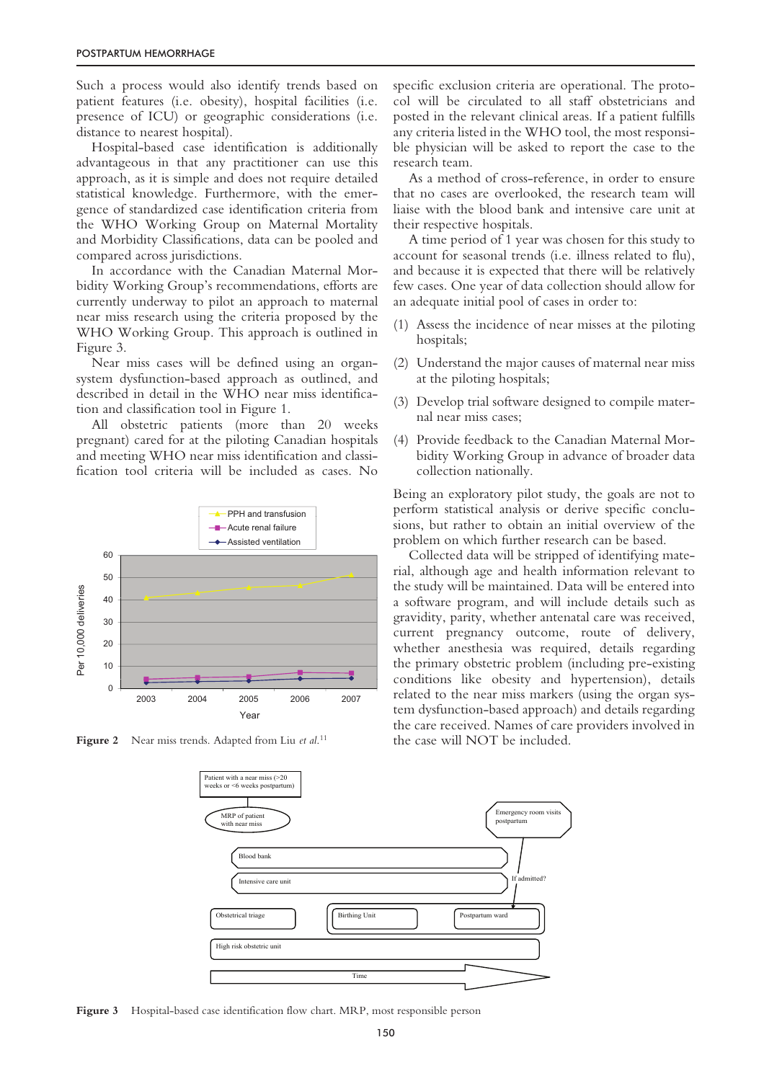Such a process would also identify trends based on patient features (i.e. obesity), hospital facilities (i.e. presence of ICU) or geographic considerations (i.e. distance to nearest hospital).

Hospital-based case identification is additionally advantageous in that any practitioner can use this approach, as it is simple and does not require detailed statistical knowledge. Furthermore, with the emergence of standardized case identification criteria from the WHO Working Group on Maternal Mortality and Morbidity Classifications, data can be pooled and compared across jurisdictions.

In accordance with the Canadian Maternal Morbidity Working Group's recommendations, efforts are currently underway to pilot an approach to maternal near miss research using the criteria proposed by the WHO Working Group. This approach is outlined in Figure 3.

Near miss cases will be defined using an organsystem dysfunction-based approach as outlined, and described in detail in the WHO near miss identification and classification tool in Figure 1.

All obstetric patients (more than 20 weeks pregnant) cared for at the piloting Canadian hospitals and meeting WHO near miss identification and classification tool criteria will be included as cases. No



**Figure 2** Near miss trends. Adapted from Liu *et al*. 11

specific exclusion criteria are operational. The protocol will be circulated to all staff obstetricians and posted in the relevant clinical areas. If a patient fulfills any criteria listed in the WHO tool, the most responsible physician will be asked to report the case to the research team.

As a method of cross-reference, in order to ensure that no cases are overlooked, the research team will liaise with the blood bank and intensive care unit at their respective hospitals.

A time period of 1 year was chosen for this study to account for seasonal trends (i.e. illness related to flu), and because it is expected that there will be relatively few cases. One year of data collection should allow for an adequate initial pool of cases in order to:

- (1) Assess the incidence of near misses at the piloting hospitals;
- (2) Understand the major causes of maternal near miss at the piloting hospitals;
- (3) Develop trial software designed to compile maternal near miss cases;
- (4) Provide feedback to the Canadian Maternal Morbidity Working Group in advance of broader data collection nationally.

Being an exploratory pilot study, the goals are not to perform statistical analysis or derive specific conclusions, but rather to obtain an initial overview of the problem on which further research can be based.

Collected data will be stripped of identifying material, although age and health information relevant to the study will be maintained. Data will be entered into a software program, and will include details such as gravidity, parity, whether antenatal care was received, current pregnancy outcome, route of delivery, whether anesthesia was required, details regarding the primary obstetric problem (including pre-existing conditions like obesity and hypertension), details related to the near miss markers (using the organ system dysfunction-based approach) and details regarding the care received. Names of care providers involved in the case will NOT be included.



**Figure 3** Hospital-based case identification flow chart. MRP, most responsible person